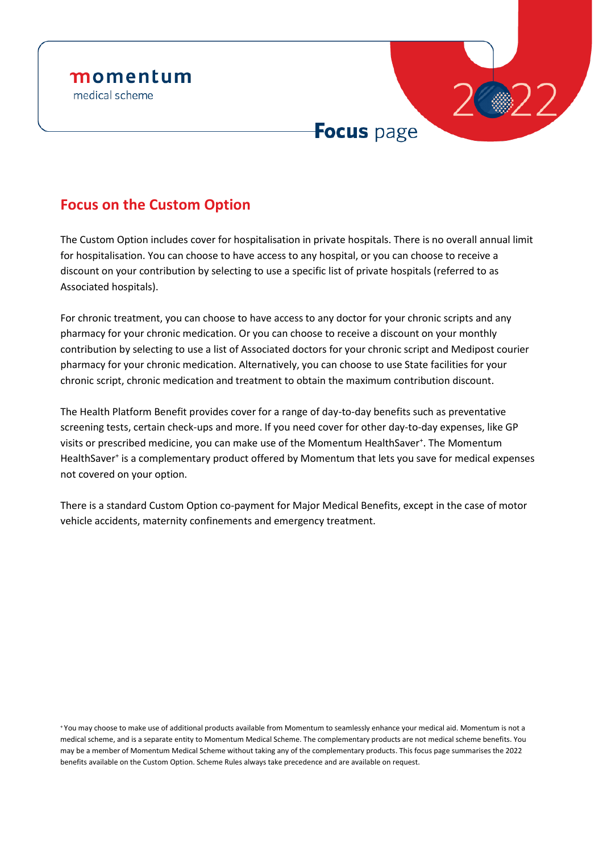

# **Focus on the Custom Option**

The Custom Option includes cover for hospitalisation in private hospitals. There is no overall annual limit for hospitalisation. You can choose to have access to any hospital, or you can choose to receive a discount on your contribution by selecting to use a specific list of private hospitals (referred to as Associated hospitals).

For chronic treatment, you can choose to have access to any doctor for your chronic scripts and any pharmacy for your chronic medication. Or you can choose to receive a discount on your monthly contribution by selecting to use a list of Associated doctors for your chronic script and Medipost courier pharmacy for your chronic medication. Alternatively, you can choose to use State facilities for your chronic script, chronic medication and treatment to obtain the maximum contribution discount.

The Health Platform Benefit provides cover for a range of day-to-day benefits such as preventative screening tests, certain check-ups and more. If you need cover for other day-to-day expenses, like GP visits or prescribed medicine, you can make use of the Momentum HealthSaver<sup>+</sup>. The Momentum HealthSaver<sup>+</sup> is a complementary product offered by Momentum that lets you save for medical expenses not covered on your option.

There is a standard Custom Option co-payment for Major Medical Benefits, except in the case of motor vehicle accidents, maternity confinements and emergency treatment.

<sup>+</sup> You may choose to make use of additional products available from Momentum to seamlessly enhance your medical aid. Momentum is not a medical scheme, and is a separate entity to Momentum Medical Scheme. The complementary products are not medical scheme benefits. You may be a member of Momentum Medical Scheme without taking any of the complementary products. This focus page summarises the 2022 benefits available on the Custom Option. Scheme Rules always take precedence and are available on request.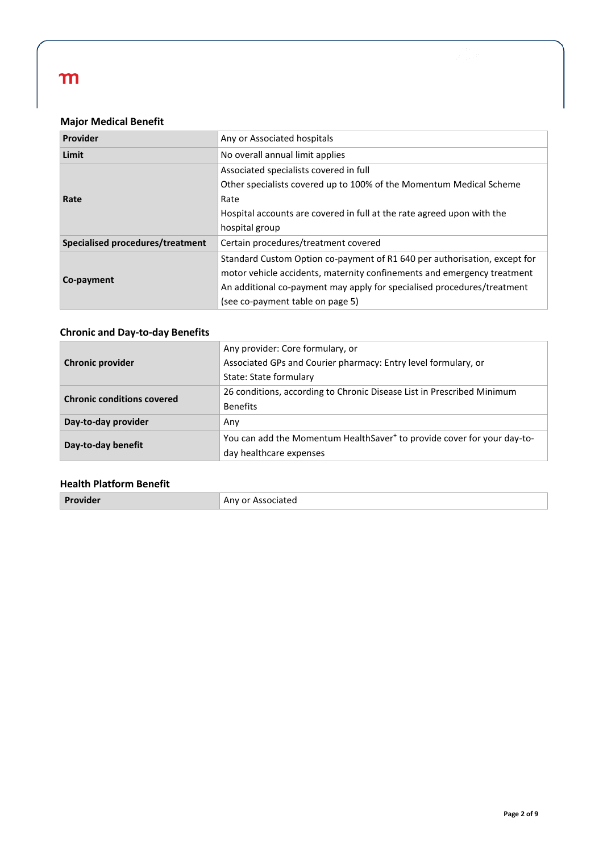### **Major Medical Benefit**

| Provider                                | Any or Associated hospitals                                               |  |
|-----------------------------------------|---------------------------------------------------------------------------|--|
| Limit                                   | No overall annual limit applies                                           |  |
|                                         | Associated specialists covered in full                                    |  |
|                                         | Other specialists covered up to 100% of the Momentum Medical Scheme       |  |
| Rate                                    | Rate                                                                      |  |
|                                         | Hospital accounts are covered in full at the rate agreed upon with the    |  |
|                                         | hospital group                                                            |  |
| <b>Specialised procedures/treatment</b> | Certain procedures/treatment covered                                      |  |
|                                         | Standard Custom Option co-payment of R1 640 per authorisation, except for |  |
|                                         | motor vehicle accidents, maternity confinements and emergency treatment   |  |
| Co-payment                              | An additional co-payment may apply for specialised procedures/treatment   |  |
|                                         | (see co-payment table on page 5)                                          |  |

### **Chronic and Day-to-day Benefits**

|                                   | Any provider: Core formulary, or                                                    |  |  |
|-----------------------------------|-------------------------------------------------------------------------------------|--|--|
| <b>Chronic provider</b>           | Associated GPs and Courier pharmacy: Entry level formulary, or                      |  |  |
|                                   | State: State formulary                                                              |  |  |
| <b>Chronic conditions covered</b> | 26 conditions, according to Chronic Disease List in Prescribed Minimum              |  |  |
|                                   | <b>Benefits</b>                                                                     |  |  |
| Day-to-day provider               | Any                                                                                 |  |  |
|                                   | You can add the Momentum HealthSaver <sup>+</sup> to provide cover for your day-to- |  |  |
| Day-to-day benefit                | day healthcare expenses                                                             |  |  |

### **Health Platform Benefit**

|  | Provider | <sup>-</sup> Associated<br>Anv or |
|--|----------|-----------------------------------|
|--|----------|-----------------------------------|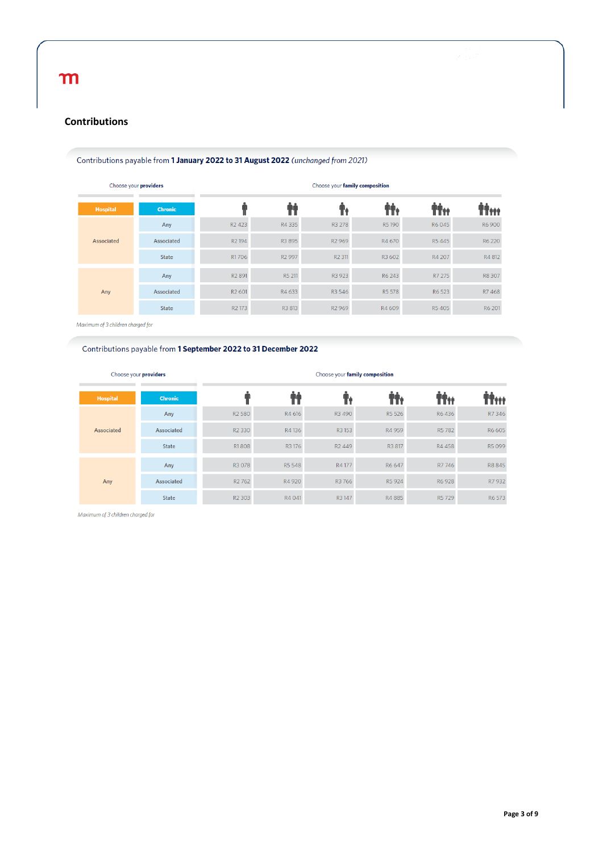### **Contributions**

#### Contributions payable from 1 January 2022 to 31 August 2022 (unchanged from 2021)

| Choose your providers |                | Choose your family composition |                    |                    |        |        |        |
|-----------------------|----------------|--------------------------------|--------------------|--------------------|--------|--------|--------|
| <b>Hospital</b>       | <b>Chronic</b> |                                |                    |                    | ÌÎ,    | iT÷÷   |        |
| Associated            | Any            | R <sub>2</sub> 423             | R4 335             | R3 278             | R5190  | R6045  | R6900  |
|                       | Associated     | R <sub>2</sub> 194             | R3 895             | R <sub>2</sub> 969 | R4 670 | R5445  | R6 220 |
|                       | <b>State</b>   | R1706                          | R <sub>2</sub> 997 | R <sub>2</sub> 311 | R3 602 | R4 207 | R4 812 |
|                       | Any            | R <sub>2</sub> 891             | R5 211             | R3 923             | R6 243 | R7 275 | R8 307 |
| Any                   | Associated     | R <sub>2</sub> 601             | R4 633             | R3 546             | R5 578 | R6 523 | R7468  |
|                       | <b>State</b>   | R <sub>2</sub> 173             | R3 813             | R <sub>2</sub> 969 | R4 609 | R5405  | R6 201 |
|                       |                |                                |                    |                    |        |        |        |

Maximum of 3 children charged for

#### Contributions payable from 1 September 2022 to 31 December 2022

| Choose your providers |                 | Choose your family composition |                                |        |                    |        |        |        |
|-----------------------|-----------------|--------------------------------|--------------------------------|--------|--------------------|--------|--------|--------|
|                       | <b>Hospital</b> | <b>Chronic</b>                 |                                |        |                    |        | İİtt   | titt   |
|                       | Associated      | Any                            | R <sub>2</sub> 580             | R4 616 | R3 490             | R5 526 | R6436  | R7 346 |
|                       |                 | Associated                     | R <sub>2</sub> 330             | R4 136 | R3153              | R4 959 | R5782  | R6 605 |
|                       |                 | <b>State</b>                   | R1808                          | R3 176 | R <sub>2</sub> 449 | R3 817 | R4 458 | R5099  |
|                       | Any             | Any                            | R3 078                         | R5 548 | R4177              | R6 647 | R7 746 | R8845  |
|                       |                 | Associated                     | R <sub>2</sub> 76 <sub>2</sub> | R4 920 | R3 766             | R5 924 | R6 928 | R7 932 |
|                       |                 | <b>State</b>                   | R <sub>2</sub> 303             | R4 041 | R3147              | R4885  | R5729  | R6 573 |

Maximum of 3 children charged for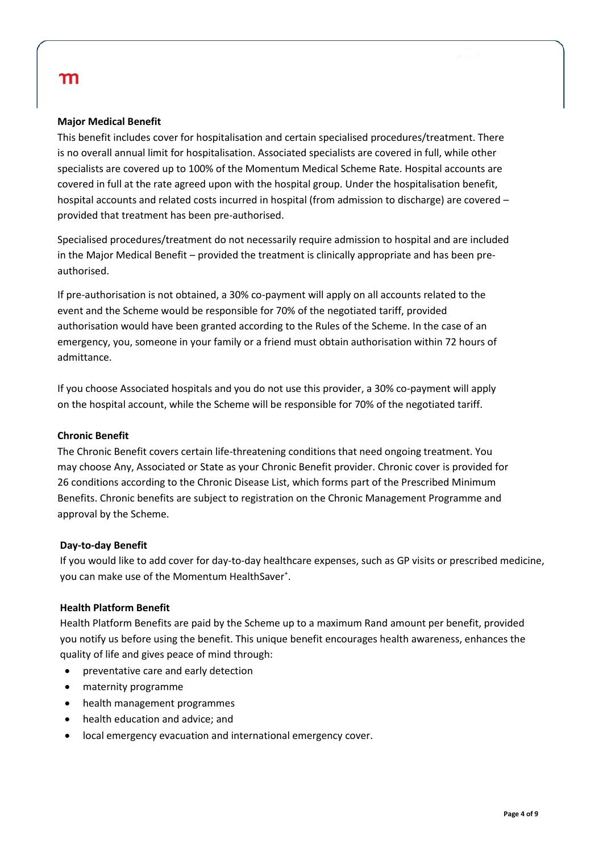#### **Major Medical Benefit**

This benefit includes cover for hospitalisation and certain specialised procedures/treatment. There is no overall annual limit for hospitalisation. Associated specialists are covered in full, while other specialists are covered up to 100% of the Momentum Medical Scheme Rate. Hospital accounts are covered in full at the rate agreed upon with the hospital group. Under the hospitalisation benefit, hospital accounts and related costs incurred in hospital (from admission to discharge) are covered – provided that treatment has been pre-authorised.

Specialised procedures/treatment do not necessarily require admission to hospital and are included in the Major Medical Benefit – provided the treatment is clinically appropriate and has been preauthorised.

If pre-authorisation is not obtained, a 30% co-payment will apply on all accounts related to the event and the Scheme would be responsible for 70% of the negotiated tariff, provided authorisation would have been granted according to the Rules of the Scheme. In the case of an emergency, you, someone in your family or a friend must obtain authorisation within 72 hours of admittance.

If you choose Associated hospitals and you do not use this provider, a 30% co-payment will apply on the hospital account, while the Scheme will be responsible for 70% of the negotiated tariff.

#### **Chronic Benefit**

The Chronic Benefit covers certain life-threatening conditions that need ongoing treatment. You may choose Any, Associated or State as your Chronic Benefit provider. Chronic cover is provided for 26 conditions according to the Chronic Disease List, which forms part of the Prescribed Minimum Benefits. Chronic benefits are subject to registration on the Chronic Management Programme and approval by the Scheme.

#### **Day-to-day Benefit**

If you would like to add cover for day-to-day healthcare expenses, such as GP visits or prescribed medicine, you can make use of the Momentum HealthSaver<sup>+</sup>.

### **Health Platform Benefit**

Health Platform Benefits are paid by the Scheme up to a maximum Rand amount per benefit, provided you notify us before using the benefit. This unique benefit encourages health awareness, enhances the quality of life and gives peace of mind through:

- preventative care and early detection
- maternity programme
- health management programmes
- health education and advice; and
- local emergency evacuation and international emergency cover.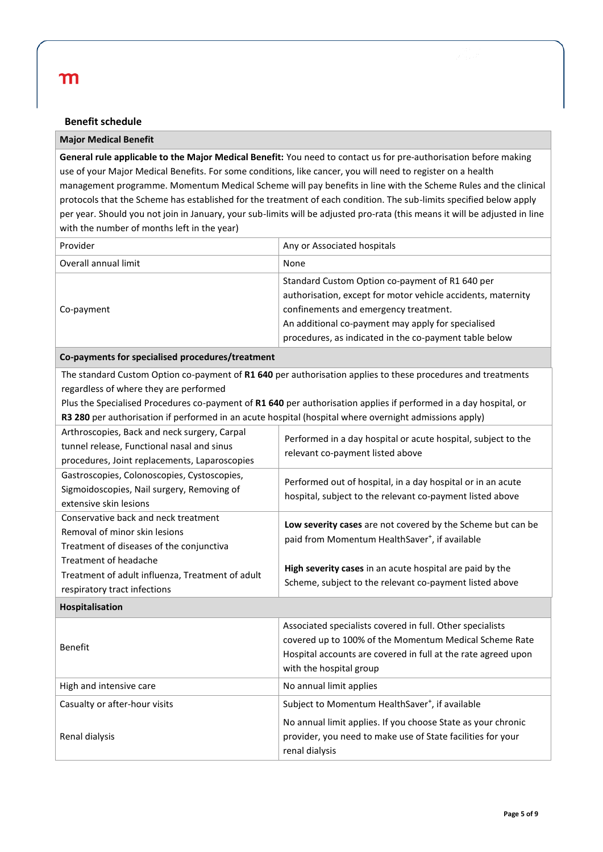#### **Benefit schedule**

#### **Major Medical Benefit**

**General rule applicable to the Major Medical Benefit:** You need to contact us for pre-authorisation before making use of your Major Medical Benefits. For some conditions, like cancer, you will need to register on a health management programme. Momentum Medical Scheme will pay benefits in line with the Scheme Rules and the clinical protocols that the Scheme has established for the treatment of each condition. The sub-limits specified below apply per year. Should you not join in January, your sub-limits will be adjusted pro-rata (this means it will be adjusted in line with the number of months left in the year)

| Provider             | Any or Associated hospitals                                                                                                                                                                                                                                              |
|----------------------|--------------------------------------------------------------------------------------------------------------------------------------------------------------------------------------------------------------------------------------------------------------------------|
| Overall annual limit | None                                                                                                                                                                                                                                                                     |
| Co-payment           | Standard Custom Option co-payment of R1 640 per<br>authorisation, except for motor vehicle accidents, maternity<br>confinements and emergency treatment.<br>An additional co-payment may apply for specialised<br>procedures, as indicated in the co-payment table below |

**Co-payments for specialised procedures/treatment** The standard Custom Option co-payment of **R1 640** per authorisation applies to these procedures and treatments regardless of where they are performed Plus the Specialised Procedures co-payment of **R1 640** per authorisation applies if performed in a day hospital, or **R3 280** per authorisation if performed in an acute hospital (hospital where overnight admissions apply) Arthroscopies, Back and neck surgery, Carpal tunnel release, Functional nasal and sinus procedures, Joint replacements, Laparoscopies Performed in a day hospital or acute hospital, subject to the relevant co-payment listed above Gastroscopies, Colonoscopies, Cystoscopies, Sigmoidoscopies, Nail surgery, Removing of extensive skin lesions Performed out of hospital, in a day hospital or in an acute hospital, subject to the relevant co-payment listed above Conservative back and neck treatment Removal of minor skin lesions Treatment of diseases of the conjunctiva Treatment of headache Treatment of adult influenza, Treatment of adult respiratory tract infections **Low severity cases** are not covered by the Scheme but can be paid from Momentum HealthSaver<sup>+</sup>, if available **High severity cases** in an acute hospital are paid by the Scheme, subject to the relevant co-payment listed above **Hospitalisation** Benefit Associated specialists covered in full. Other specialists covered up to 100% of the Momentum Medical Scheme Rate Hospital accounts are covered in full at the rate agreed upon with the hospital group High and intensive care No annual limit applies Casualty or after-hour visits  $\vert$  Subject to Momentum HealthSaver<sup>+</sup>, if available Renal dialysis No annual limit applies. If you choose State as your chronic provider, you need to make use of State facilities for your

renal dialysis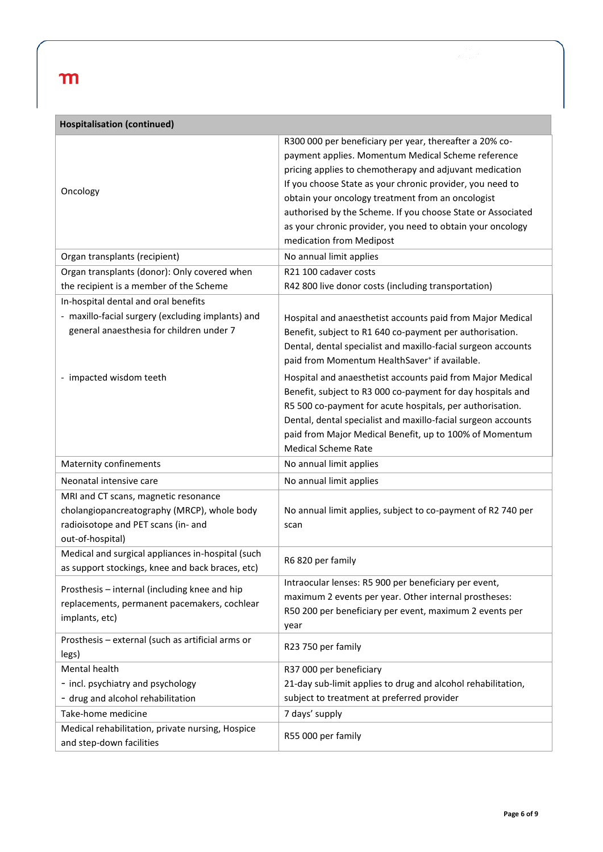| <b>Hospitalisation (continued)</b>                                                                    |                                                               |  |  |  |
|-------------------------------------------------------------------------------------------------------|---------------------------------------------------------------|--|--|--|
|                                                                                                       | R300 000 per beneficiary per year, thereafter a 20% co-       |  |  |  |
|                                                                                                       | payment applies. Momentum Medical Scheme reference            |  |  |  |
|                                                                                                       | pricing applies to chemotherapy and adjuvant medication       |  |  |  |
| Oncology                                                                                              | If you choose State as your chronic provider, you need to     |  |  |  |
|                                                                                                       | obtain your oncology treatment from an oncologist             |  |  |  |
|                                                                                                       | authorised by the Scheme. If you choose State or Associated   |  |  |  |
|                                                                                                       | as your chronic provider, you need to obtain your oncology    |  |  |  |
|                                                                                                       | medication from Medipost                                      |  |  |  |
| Organ transplants (recipient)                                                                         | No annual limit applies                                       |  |  |  |
| Organ transplants (donor): Only covered when                                                          | R21 100 cadaver costs                                         |  |  |  |
| the recipient is a member of the Scheme                                                               | R42 800 live donor costs (including transportation)           |  |  |  |
| In-hospital dental and oral benefits                                                                  |                                                               |  |  |  |
| - maxillo-facial surgery (excluding implants) and                                                     | Hospital and anaesthetist accounts paid from Major Medical    |  |  |  |
| general anaesthesia for children under 7                                                              | Benefit, subject to R1 640 co-payment per authorisation.      |  |  |  |
|                                                                                                       | Dental, dental specialist and maxillo-facial surgeon accounts |  |  |  |
|                                                                                                       | paid from Momentum HealthSaver <sup>+</sup> if available.     |  |  |  |
| - impacted wisdom teeth                                                                               | Hospital and anaesthetist accounts paid from Major Medical    |  |  |  |
|                                                                                                       | Benefit, subject to R3 000 co-payment for day hospitals and   |  |  |  |
|                                                                                                       | R5 500 co-payment for acute hospitals, per authorisation.     |  |  |  |
|                                                                                                       | Dental, dental specialist and maxillo-facial surgeon accounts |  |  |  |
|                                                                                                       | paid from Major Medical Benefit, up to 100% of Momentum       |  |  |  |
|                                                                                                       | <b>Medical Scheme Rate</b>                                    |  |  |  |
| <b>Maternity confinements</b>                                                                         | No annual limit applies                                       |  |  |  |
| Neonatal intensive care                                                                               | No annual limit applies                                       |  |  |  |
| MRI and CT scans, magnetic resonance                                                                  |                                                               |  |  |  |
| cholangiopancreatography (MRCP), whole body                                                           | No annual limit applies, subject to co-payment of R2 740 per  |  |  |  |
| radioisotope and PET scans (in- and                                                                   | scan                                                          |  |  |  |
| out-of-hospital)                                                                                      |                                                               |  |  |  |
| Medical and surgical appliances in-hospital (such<br>as support stockings, knee and back braces, etc) | R6 820 per family                                             |  |  |  |
|                                                                                                       | Intraocular lenses: R5 900 per beneficiary per event,         |  |  |  |
| Prosthesis - internal (including knee and hip                                                         | maximum 2 events per year. Other internal prostheses:         |  |  |  |
| replacements, permanent pacemakers, cochlear                                                          | R50 200 per beneficiary per event, maximum 2 events per       |  |  |  |
| implants, etc)                                                                                        | year                                                          |  |  |  |
| Prosthesis - external (such as artificial arms or                                                     |                                                               |  |  |  |
| legs)                                                                                                 | R23 750 per family                                            |  |  |  |
| Mental health                                                                                         | R37 000 per beneficiary                                       |  |  |  |
| - incl. psychiatry and psychology                                                                     | 21-day sub-limit applies to drug and alcohol rehabilitation,  |  |  |  |
| - drug and alcohol rehabilitation                                                                     | subject to treatment at preferred provider                    |  |  |  |
| Take-home medicine                                                                                    | 7 days' supply                                                |  |  |  |
| Medical rehabilitation, private nursing, Hospice                                                      |                                                               |  |  |  |
| and step-down facilities                                                                              | R55 000 per family                                            |  |  |  |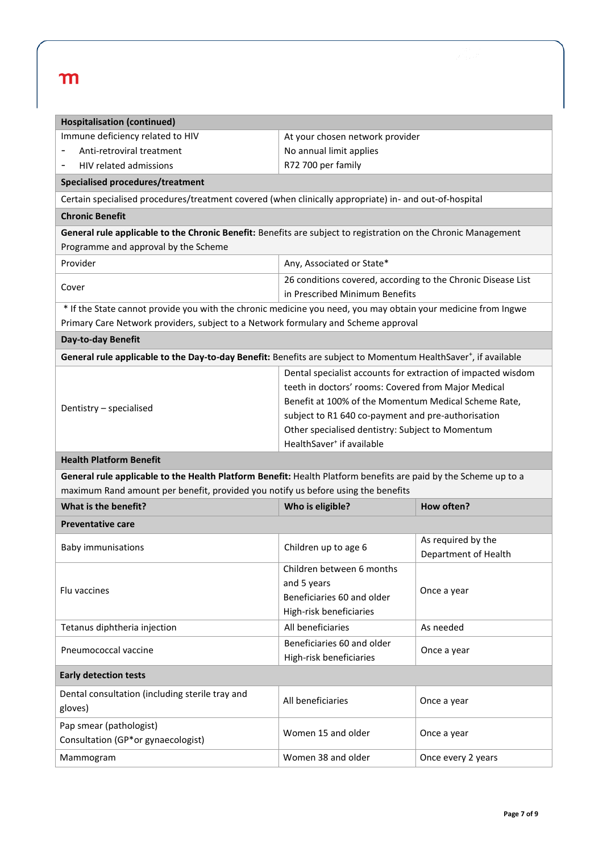| <b>Hospitalisation (continued)</b>                                                                                          |                                                              |                      |  |  |  |
|-----------------------------------------------------------------------------------------------------------------------------|--------------------------------------------------------------|----------------------|--|--|--|
| Immune deficiency related to HIV                                                                                            | At your chosen network provider                              |                      |  |  |  |
| Anti-retroviral treatment                                                                                                   | No annual limit applies                                      |                      |  |  |  |
| HIV related admissions                                                                                                      | R72 700 per family                                           |                      |  |  |  |
| Specialised procedures/treatment                                                                                            |                                                              |                      |  |  |  |
| Certain specialised procedures/treatment covered (when clinically appropriate) in- and out-of-hospital                      |                                                              |                      |  |  |  |
| <b>Chronic Benefit</b>                                                                                                      |                                                              |                      |  |  |  |
| General rule applicable to the Chronic Benefit: Benefits are subject to registration on the Chronic Management              |                                                              |                      |  |  |  |
| Programme and approval by the Scheme                                                                                        |                                                              |                      |  |  |  |
| Provider                                                                                                                    | Any, Associated or State*                                    |                      |  |  |  |
|                                                                                                                             | 26 conditions covered, according to the Chronic Disease List |                      |  |  |  |
| Cover                                                                                                                       | in Prescribed Minimum Benefits                               |                      |  |  |  |
| * If the State cannot provide you with the chronic medicine you need, you may obtain your medicine from Ingwe               |                                                              |                      |  |  |  |
| Primary Care Network providers, subject to a Network formulary and Scheme approval                                          |                                                              |                      |  |  |  |
| Day-to-day Benefit                                                                                                          |                                                              |                      |  |  |  |
| General rule applicable to the Day-to-day Benefit: Benefits are subject to Momentum HealthSaver <sup>+</sup> , if available |                                                              |                      |  |  |  |
|                                                                                                                             | Dental specialist accounts for extraction of impacted wisdom |                      |  |  |  |
|                                                                                                                             | teeth in doctors' rooms: Covered from Major Medical          |                      |  |  |  |
| Dentistry - specialised                                                                                                     | Benefit at 100% of the Momentum Medical Scheme Rate,         |                      |  |  |  |
|                                                                                                                             | subject to R1 640 co-payment and pre-authorisation           |                      |  |  |  |
|                                                                                                                             | Other specialised dentistry: Subject to Momentum             |                      |  |  |  |
|                                                                                                                             | HealthSaver <sup>+</sup> if available                        |                      |  |  |  |
| <b>Health Platform Benefit</b>                                                                                              |                                                              |                      |  |  |  |
| General rule applicable to the Health Platform Benefit: Health Platform benefits are paid by the Scheme up to a             |                                                              |                      |  |  |  |
| maximum Rand amount per benefit, provided you notify us before using the benefits                                           |                                                              |                      |  |  |  |
| What is the benefit?                                                                                                        | Who is eligible?                                             | How often?           |  |  |  |
| <b>Preventative care</b>                                                                                                    |                                                              |                      |  |  |  |
| <b>Baby immunisations</b>                                                                                                   | Children up to age 6                                         | As required by the   |  |  |  |
|                                                                                                                             |                                                              | Department of Health |  |  |  |
|                                                                                                                             | Children between 6 months                                    |                      |  |  |  |
| Flu vaccines                                                                                                                | and 5 years<br>Beneficiaries 60 and older                    | Once a year          |  |  |  |
|                                                                                                                             | High-risk beneficiaries                                      |                      |  |  |  |
| Tetanus diphtheria injection                                                                                                | All beneficiaries                                            | As needed            |  |  |  |
|                                                                                                                             | Beneficiaries 60 and older                                   |                      |  |  |  |
| Pneumococcal vaccine                                                                                                        | High-risk beneficiaries                                      | Once a year          |  |  |  |
| <b>Early detection tests</b>                                                                                                |                                                              |                      |  |  |  |
| Dental consultation (including sterile tray and                                                                             | All beneficiaries                                            | Once a year          |  |  |  |
| gloves)                                                                                                                     |                                                              |                      |  |  |  |
| Pap smear (pathologist)                                                                                                     | Women 15 and older                                           |                      |  |  |  |
| Consultation (GP*or gynaecologist)                                                                                          |                                                              | Once a year          |  |  |  |
|                                                                                                                             |                                                              | Once every 2 years   |  |  |  |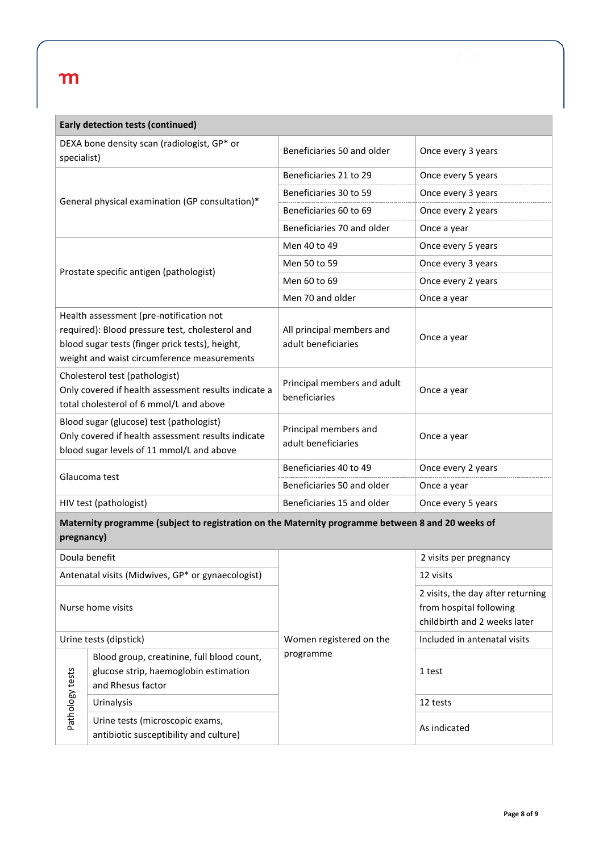| <b>Early detection tests (continued)</b>                                                                                                                                                     |                                                                                                          |                                                  |                                                                                              |  |  |
|----------------------------------------------------------------------------------------------------------------------------------------------------------------------------------------------|----------------------------------------------------------------------------------------------------------|--------------------------------------------------|----------------------------------------------------------------------------------------------|--|--|
| DEXA bone density scan (radiologist, GP* or<br>specialist)                                                                                                                                   |                                                                                                          | Beneficiaries 50 and older                       | Once every 3 years                                                                           |  |  |
|                                                                                                                                                                                              |                                                                                                          | Beneficiaries 21 to 29                           | Once every 5 years                                                                           |  |  |
|                                                                                                                                                                                              |                                                                                                          | Beneficiaries 30 to 59                           | Once every 3 years                                                                           |  |  |
|                                                                                                                                                                                              | General physical examination (GP consultation)*                                                          | Beneficiaries 60 to 69                           | Once every 2 years                                                                           |  |  |
|                                                                                                                                                                                              |                                                                                                          | Beneficiaries 70 and older                       | Once a year                                                                                  |  |  |
|                                                                                                                                                                                              |                                                                                                          | Men 40 to 49                                     | Once every 5 years                                                                           |  |  |
|                                                                                                                                                                                              |                                                                                                          | Men 50 to 59                                     | Once every 3 years                                                                           |  |  |
|                                                                                                                                                                                              | Prostate specific antigen (pathologist)                                                                  | Men 60 to 69                                     | Once every 2 years                                                                           |  |  |
|                                                                                                                                                                                              |                                                                                                          | Men 70 and older                                 | Once a year                                                                                  |  |  |
| Health assessment (pre-notification not<br>required): Blood pressure test, cholesterol and<br>blood sugar tests (finger prick tests), height,<br>weight and waist circumference measurements |                                                                                                          | All principal members and<br>adult beneficiaries | Once a year                                                                                  |  |  |
| Cholesterol test (pathologist)<br>Only covered if health assessment results indicate a<br>total cholesterol of 6 mmol/L and above                                                            |                                                                                                          | Principal members and adult<br>beneficiaries     | Once a year                                                                                  |  |  |
| Blood sugar (glucose) test (pathologist)<br>Only covered if health assessment results indicate<br>blood sugar levels of 11 mmol/L and above                                                  |                                                                                                          | Principal members and<br>adult beneficiaries     | Once a year                                                                                  |  |  |
| Glaucoma test                                                                                                                                                                                |                                                                                                          | Beneficiaries 40 to 49                           | Once every 2 years                                                                           |  |  |
|                                                                                                                                                                                              |                                                                                                          | Beneficiaries 50 and older                       | Once a year                                                                                  |  |  |
| HIV test (pathologist)                                                                                                                                                                       |                                                                                                          | Beneficiaries 15 and older                       | Once every 5 years                                                                           |  |  |
| Maternity programme (subject to registration on the Maternity programme between 8 and 20 weeks of<br>pregnancy)                                                                              |                                                                                                          |                                                  |                                                                                              |  |  |
|                                                                                                                                                                                              | Doula benefit                                                                                            |                                                  | 2 visits per pregnancy                                                                       |  |  |
| Antenatal visits (Midwives, GP* or gynaecologist)                                                                                                                                            |                                                                                                          |                                                  | 12 visits                                                                                    |  |  |
| Nurse home visits                                                                                                                                                                            |                                                                                                          |                                                  | 2 visits, the day after returning<br>from hospital following<br>childbirth and 2 weeks later |  |  |
| Urine tests (dipstick)                                                                                                                                                                       |                                                                                                          | Women registered on the                          | Included in antenatal visits                                                                 |  |  |
| Pathology tests                                                                                                                                                                              | Blood group, creatinine, full blood count,<br>glucose strip, haemoglobin estimation<br>and Rhesus factor | programme                                        | 1 test                                                                                       |  |  |
|                                                                                                                                                                                              | Urinalysis                                                                                               |                                                  | 12 tests                                                                                     |  |  |
|                                                                                                                                                                                              | Urine tests (microscopic exams,<br>antibiotic susceptibility and culture)                                |                                                  | As indicated                                                                                 |  |  |